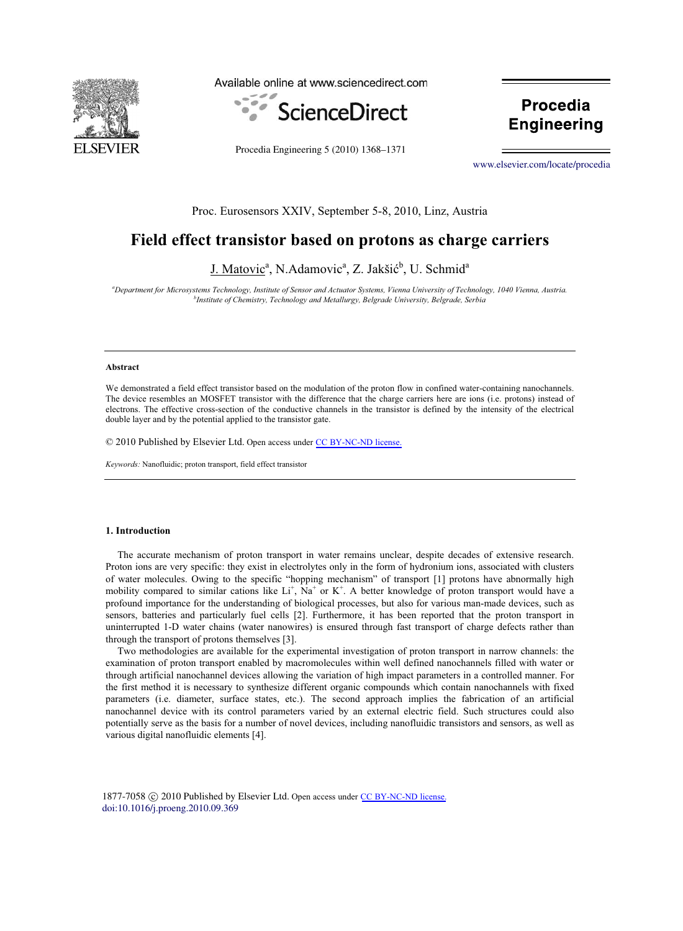

Available online at www.sciencedirect.com



**Procedia Engineering** 

Procedia Engineering 5 (2010) 1368–1371

[www.elsevier.com/locate/procedia](http://www.elsevier.com/locate/procedia)

**Engineering**

## Proc. Eurosensors XXIV, September 5-8, 2010, Linz, Austria

# **Field effect transistor based on protons as charge carriers**

J. Matovic<sup>a</sup>, N.Adamovic<sup>a</sup>, Z. Jakšić<sup>b</sup>, U. Schmid<sup>a</sup>

*a Department for Microsystems Technology, Institute of Sensor and Actuator Systems, Vienna University of Technology, 1040 Vienna, Austria. b Institute of Chemistry, Technology and Metallurgy, Belgrade University, Belgrade, Serbia* 

## **Abstract**

We demonstrated a field effect transistor based on the modulation of the proton flow in confined water-containing nanochannels. The device resembles an MOSFET transistor with the difference that the charge carriers here are ions (i.e. protons) instead of electrons. The effective cross-section of the conductive channels in the transistor is defined by the intensity of the electrical double layer and by the potential applied to the transistor gate.

© 2010 Published by Elsevier Ltd. Open access under [CC BY-NC-ND license.](http://creativecommons.org/licenses/by-nc-nd/3.0/)

*Keywords:* Nanofluidic; proton transport, field effect transistor

## **1. Introduction**

The accurate mechanism of proton transport in water remains unclear, despite decades of extensive research. Proton ions are very specific: they exist in electrolytes only in the form of hydronium ions, associated with clusters of water molecules. Owing to the specific "hopping mechanism" of transport [1] protons have abnormally high mobility compared to similar cations like Li<sup>+</sup>, Na<sup>+</sup> or K<sup>+</sup>. A better knowledge of proton transport would have a profound importance for the understanding of biological processes, but also for various man-made devices, such as sensors, batteries and particularly fuel cells [2]. Furthermore, it has been reported that the proton transport in uninterrupted 1-D water chains (water nanowires) is ensured through fast transport of charge defects rather than through the transport of protons themselves [3].

Two methodologies are available for the experimental investigation of proton transport in narrow channels: the examination of proton transport enabled by macromolecules within well defined nanochannels filled with water or through artificial nanochannel devices allowing the variation of high impact parameters in a controlled manner. For the first method it is necessary to synthesize different organic compounds which contain nanochannels with fixed parameters (i.e. diameter, surface states, etc.). The second approach implies the fabrication of an artificial nanochannel device with its control parameters varied by an external electric field. Such structures could also potentially serve as the basis for a number of novel devices, including nanofluidic transistors and sensors, as well as various digital nanofluidic elements [4].

1877-7058 © 2010 Published by Elsevier Ltd. Open access under [CC BY-NC-ND license.](http://creativecommons.org/licenses/by-nc-nd/3.0/) [doi:10.1016/j.proeng.2010.09.369](http://dx.doi.org/10.1016/j.proeng.2010.09.369)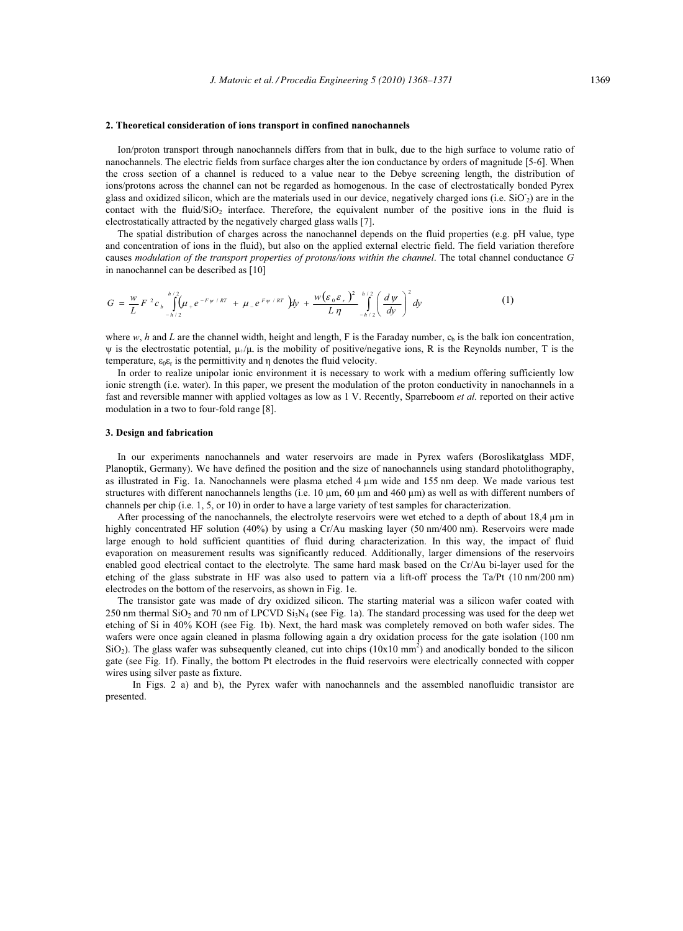#### **2. Theoretical consideration of ions transport in confined nanochannels**

Ion/proton transport through nanochannels differs from that in bulk, due to the high surface to volume ratio of nanochannels. The electric fields from surface charges alter the ion conductance by orders of magnitude [5-6]. When the cross section of a channel is reduced to a value near to the Debye screening length, the distribution of ions/protons across the channel can not be regarded as homogenous. In the case of electrostatically bonded Pyrex glass and oxidized silicon, which are the materials used in our device, negatively charged ions (i.e. SiO<sub>2</sub>) are in the contact with the fluid/ $SiO<sub>2</sub>$  interface. Therefore, the equivalent number of the positive ions in the fluid is electrostatically attracted by the negatively charged glass walls [7].

The spatial distribution of charges across the nanochannel depends on the fluid properties (e.g. pH value, type and concentration of ions in the fluid), but also on the applied external electric field. The field variation therefore causes *modulation of the transport properties of protons/ions within the channel*. The total channel conductance *G* in nanochannel can be described as [10]

$$
G = \frac{w}{L} F^2 c_b \int_{-h/2}^{h/2} (\mu_+ e^{-F\psi/kT} + \mu_- e^{F\psi/kT}) dy + \frac{w(\varepsilon_0 \varepsilon_r)^2}{L \eta} \int_{-h/2}^{h/2} (\frac{d\psi}{dy})^2 dy \tag{1}
$$

where  $w$ , *h* and *L* are the channel width, height and length, F is the Faraday number,  $c<sub>b</sub>$  is the balk ion concentration,  $\psi$  is the electrostatic potential,  $\mu$ <sub>+</sub>/ $\mu$  is the mobility of positive/negative ions, R is the Reynolds number, T is the temperature,  $\varepsilon_0 \varepsilon_r$  is the permittivity and  $\eta$  denotes the fluid velocity.

In order to realize unipolar ionic environment it is necessary to work with a medium offering sufficiently low ionic strength (i.e. water). In this paper, we present the modulation of the proton conductivity in nanochannels in a fast and reversible manner with applied voltages as low as 1 V. Recently, Sparreboom *et al.* reported on their active modulation in a two to four-fold range [8].

#### **3. Design and fabrication**

In our experiments nanochannels and water reservoirs are made in Pyrex wafers (Boroslikatglass MDF, Planoptik, Germany). We have defined the position and the size of nanochannels using standard photolithography, as illustrated in Fig. 1a. Nanochannels were plasma etched 4 μm wide and 155 nm deep. We made various test structures with different nanochannels lengths (i.e. 10 μm, 60 μm and 460 μm) as well as with different numbers of channels per chip (i.e. 1, 5, or 10) in order to have a large variety of test samples for characterization.

After processing of the nanochannels, the electrolyte reservoirs were wet etched to a depth of about 18,4 μm in highly concentrated HF solution (40%) by using a Cr/Au masking layer (50 nm/400 nm). Reservoirs were made large enough to hold sufficient quantities of fluid during characterization. In this way, the impact of fluid evaporation on measurement results was significantly reduced. Additionally, larger dimensions of the reservoirs enabled good electrical contact to the electrolyte. The same hard mask based on the Cr/Au bi-layer used for the etching of the glass substrate in HF was also used to pattern via a lift-off process the Ta/Pt (10 nm/200 nm) electrodes on the bottom of the reservoirs, as shown in Fig. 1e.

The transistor gate was made of dry oxidized silicon. The starting material was a silicon wafer coated with 250 nm thermal  $SiO_2$  and 70 nm of LPCVD  $Si_3N_4$  (see Fig. 1a). The standard processing was used for the deep wet etching of Si in 40% KOH (see Fig. 1b). Next, the hard mask was completely removed on both wafer sides. The wafers were once again cleaned in plasma following again a dry oxidation process for the gate isolation (100 nm  $SiO<sub>2</sub>$ ). The glass wafer was subsequently cleaned, cut into chips  $(10x10 \text{ mm}^2)$  and anodically bonded to the silicon gate (see Fig. 1f). Finally, the bottom Pt electrodes in the fluid reservoirs were electrically connected with copper wires using silver paste as fixture.

In Figs. 2 a) and b), the Pyrex wafer with nanochannels and the assembled nanofluidic transistor are presented.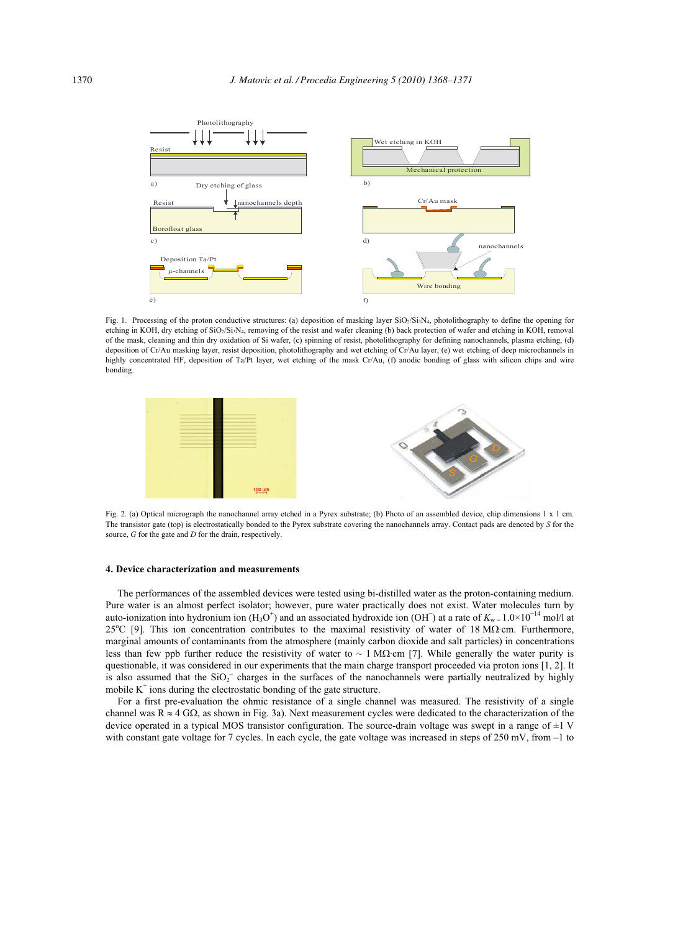

Fig. 1. Processing of the proton conductive structures: (a) deposition of masking layer SiO<sub>2</sub>/Si<sub>3</sub>N<sub>4</sub>, photolithography to define the opening for etching in KOH, dry etching of SiO<sub>2</sub>/Si<sub>3</sub>N<sub>4</sub>, removing of the resist and wafer cleaning (b) back protection of wafer and etching in KOH, removal of the mask, cleaning and thin dry oxidation of Si wafer, (c) spinning of resist, photolithography for defining nanochannels, plasma etching, (d) deposition of Cr/Au masking layer, resist deposition, photolithography and wet etching of Cr/Au layer, (e) wet etching of deep microchannels in highly concentrated HF, deposition of Ta/Pt layer, wet etching of the mask Cr/Au, (f) anodic bonding of glass with silicon chips and wire bonding.



Fig. 2. (a) Optical micrograph the nanochannel array etched in a Pyrex substrate; (b) Photo of an assembled device, chip dimensions 1 x 1 cm. The transistor gate (top) is electrostatically bonded to the Pyrex substrate covering the nanochannels array. Contact pads are denoted by *S* for the source, *G* for the gate and *D* for the drain, respectively.

#### **4. Device characterization and measurements**

The performances of the assembled devices were tested using bi-distilled water as the proton-containing medium. Pure water is an almost perfect isolator; however, pure water practically does not exist. Water molecules turn by auto-ionization into hydronium ion  $(H_3O^+)$  and an associated hydroxide ion (OH) at a rate of  $K_w = 1.0 \times 10^{-14}$  mol/l at  $25^{\circ}$ C [9]. This ion concentration contributes to the maximal resistivity of water of 18 M $\Omega$ ·cm. Furthermore, marginal amounts of contaminants from the atmosphere (mainly carbon dioxide and salt particles) in concentrations less than few ppb further reduce the resistivity of water to  $\sim 1$  M $\Omega$ ·cm [7]. While generally the water purity is questionable, it was considered in our experiments that the main charge transport proceeded via proton ions [1, 2]. It is also assumed that the  $SiO<sub>2</sub>^-$  charges in the surfaces of the nanochannels were partially neutralized by highly mobile  $K^+$  ions during the electrostatic bonding of the gate structure.

For a first pre-evaluation the ohmic resistance of a single channel was measured. The resistivity of a single channel was  $R \approx 4 \text{ G}\Omega$ , as shown in Fig. 3a). Next measurement cycles were dedicated to the characterization of the device operated in a typical MOS transistor configuration. The source-drain voltage was swept in a range of  $\pm 1$  V with constant gate voltage for 7 cycles. In each cycle, the gate voltage was increased in steps of 250 mV, from  $-1$  to